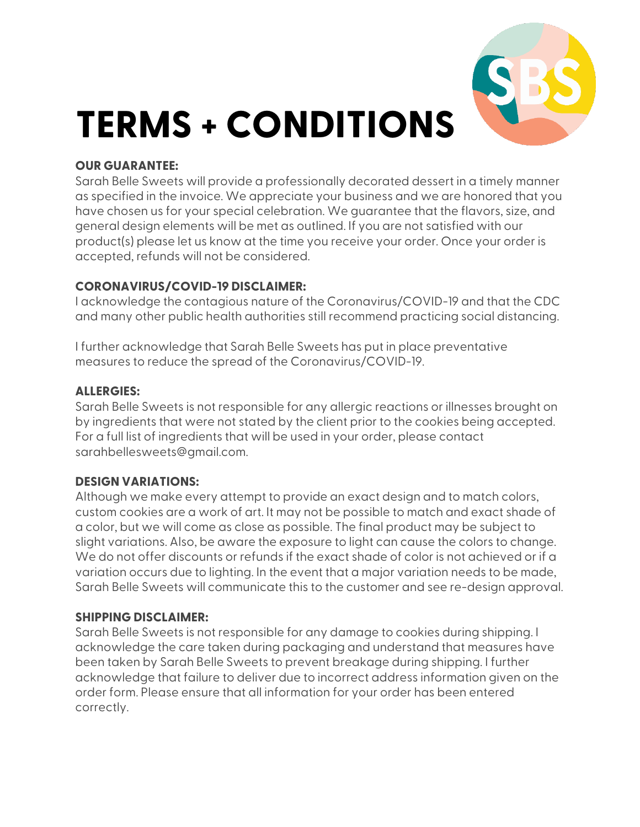# **TERMS + CONDITIONS**

#### **OUR GUARANTEE:**

Sarah Belle Sweets will provide a professionally decorated dessert in a timely manner as specified in the invoice. We appreciate your business and we are honored that you have chosen us for your special celebration. We guarantee that the flavors, size, and general design elements will be met as outlined. If you are not satisfied with our product(s) please let us know at the time you receive your order. Once your order is accepted, refunds will not be considered.

# **CORONAVIRUS/COVID-19 DISCLAIMER:**

I acknowledge the contagious nature of the Coronavirus/COVID-19 and that the CDC and many other public health authorities still recommend practicing social distancing.

I further acknowledge that Sarah Belle Sweets has put in place preventative measures to reduce the spread of the Coronavirus/COVID-19.

#### **ALLERGIES:**

Sarah Belle Sweets is not responsible for any allergic reactions or illnesses brought on by ingredients that were not stated by the client prior to the cookies being accepted. For a full list of ingredients that will be used in your order, please contact sarahbellesweets@gmail.com.

#### **DESIGN VARIATIONS:**

Although we make every attempt to provide an exact design and to match colors, custom cookies are a work of art. It may not be possible to match and exact shade of a color, but we will come as close as possible. The final product may be subject to slight variations. Also, be aware the exposure to light can cause the colors to change. We do not offer discounts or refunds if the exact shade of color is not achieved or if a variation occurs due to lighting. In the event that a major variation needs to be made, Sarah Belle Sweets will communicate this to the customer and see re-design approval.

#### **SHIPPING DISCLAIMER:**

Sarah Belle Sweets is not responsible for any damage to cookies during shipping. I acknowledge the care taken during packaging and understand that measures have been taken by Sarah Belle Sweets to prevent breakage during shipping. I further acknowledge that failure to deliver due to incorrect address information given on the order form. Please ensure that all information for your order has been entered correctly.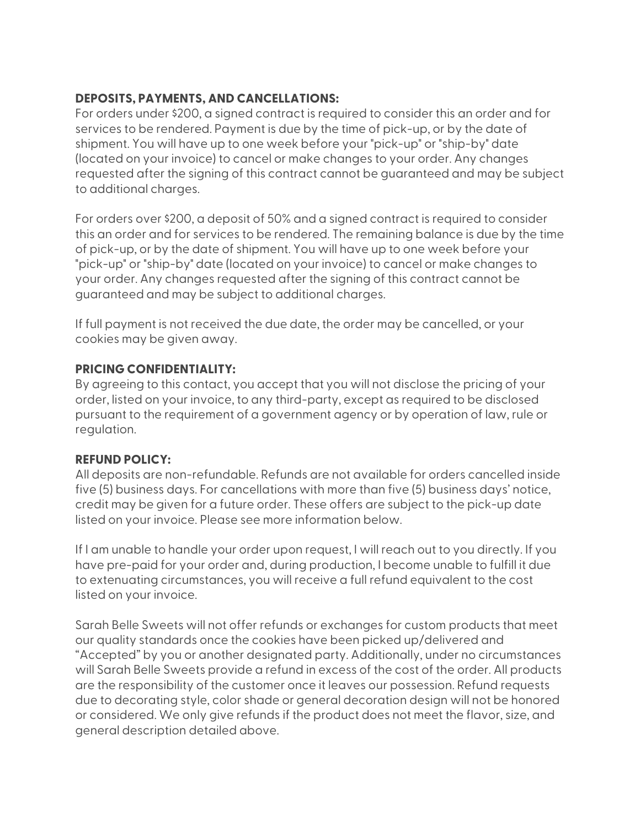# **DEPOSITS, PAYMENTS, AND CANCELLATIONS:**

For orders under \$200, a signed contract is required to consider this an order and for services to be rendered. Payment is due by the time of pick-up, or by the date of shipment. You will have up to one week before your "pick-up" or "ship-by" date (located on your invoice) to cancel or make changes to your order. Any changes requested after the signing of this contract cannot be guaranteed and may be subject to additional charges.

For orders over \$200, a deposit of 50% and a signed contract is required to consider this an order and for services to be rendered. The remaining balance is due by the time of pick-up, or by the date of shipment. You will have up to one week before your "pick-up" or "ship-by" date (located on your invoice) to cancel or make changes to your order. Any changes requested after the signing of this contract cannot be guaranteed and may be subject to additional charges.

If full payment is not received the due date, the order may be cancelled, or your cookies may be given away.

# **PRICING CONFIDENTIALITY:**

By agreeing to this contact, you accept that you will not disclose the pricing of your order, listed on your invoice, to any third-party, except as required to be disclosed pursuant to the requirement of a government agency or by operation of law, rule or regulation.

# **REFUND POLICY:**

All deposits are non-refundable. Refunds are not available for orders cancelled inside five (5) business days. For cancellations with more than five (5) business days' notice, credit may be given for a future order. These offers are subject to the pick-up date listed on your invoice. Please see more information below.

If I am unable to handle your order upon request, I will reach out to you directly. If you have pre-paid for your order and, during production, I become unable to fulfill it due to extenuating circumstances, you will receive a full refund equivalent to the cost listed on your invoice.

Sarah Belle Sweets will not offer refunds or exchanges for custom products that meet our quality standards once the cookies have been picked up/delivered and "Accepted" by you or another designated party. Additionally, under no circumstances will Sarah Belle Sweets provide a refund in excess of the cost of the order. All products are the responsibility of the customer once it leaves our possession. Refund requests due to decorating style, color shade or general decoration design will not be honored or considered. We only give refunds if the product does not meet the flavor, size, and general description detailed above.